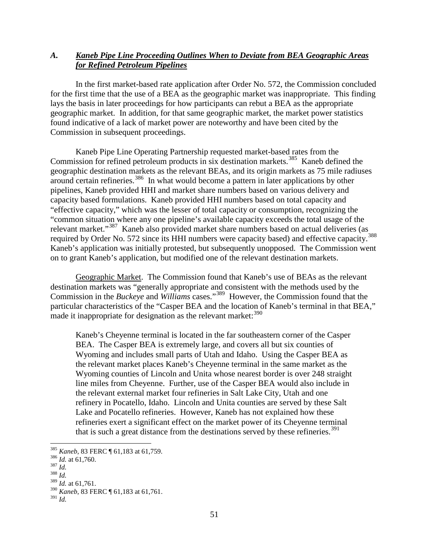## *A. Kaneb Pipe Line Proceeding Outlines When to Deviate from BEA Geographic Areas for Refined Petroleum Pipelines*

In the first market-based rate application after Order No. 572, the Commission concluded for the first time that the use of a BEA as the geographic market was inappropriate. This finding lays the basis in later proceedings for how participants can rebut a BEA as the appropriate geographic market. In addition, for that same geographic market, the market power statistics found indicative of a lack of market power are noteworthy and have been cited by the Commission in subsequent proceedings.

Kaneb Pipe Line Operating Partnership requested market-based rates from the Commission for refined petroleum products in six destination markets.<sup>[385](#page-0-0)</sup> Kaneb defined the geographic destination markets as the relevant BEAs, and its origin markets as 75 mile radiuses around certain refineries.<sup>[386](#page-0-1)</sup> In what would become a pattern in later applications by other pipelines, Kaneb provided HHI and market share numbers based on various delivery and capacity based formulations. Kaneb provided HHI numbers based on total capacity and "effective capacity," which was the lesser of total capacity or consumption, recognizing the "common situation where any one pipeline's available capacity exceeds the total usage of the relevant market."<sup>[387](#page-0-2)</sup> Kaneb also provided market share numbers based on actual deliveries (as required by Order No. 572 since its HHI numbers were capacity based) and effective capacity.<sup>388</sup> Kaneb's application was initially protested, but subsequently unopposed. The Commission went on to grant Kaneb's application, but modified one of the relevant destination markets.

Geographic Market. The Commission found that Kaneb's use of BEAs as the relevant destination markets was "generally appropriate and consistent with the methods used by the Commission in the *Buckeye* and *Williams* cases."[389](#page-0-4) However, the Commission found that the particular characteristics of the "Casper BEA and the location of Kaneb's terminal in that BEA," made it inappropriate for designation as the relevant market:<sup>[390](#page-0-5)</sup>

Kaneb's Cheyenne terminal is located in the far southeastern corner of the Casper BEA. The Casper BEA is extremely large, and covers all but six counties of Wyoming and includes small parts of Utah and Idaho. Using the Casper BEA as the relevant market places Kaneb's Cheyenne terminal in the same market as the Wyoming counties of Lincoln and Unita whose nearest border is over 248 straight line miles from Cheyenne. Further, use of the Casper BEA would also include in the relevant external market four refineries in Salt Lake City, Utah and one refinery in Pocatello, Idaho. Lincoln and Unita counties are served by these Salt Lake and Pocatello refineries. However, Kaneb has not explained how these refineries exert a significant effect on the market power of its Cheyenne terminal that is such a great distance from the destinations served by these refineries.<sup>[391](#page-0-6)</sup>

<span id="page-0-1"></span><span id="page-0-0"></span><sup>385</sup> *Kaneb*, 83 FERC ¶ 61,183 at 61,759. <sup>386</sup> *Id.* at 61,760. <sup>387</sup> *Id.* <sup>388</sup> *Id.*

<span id="page-0-2"></span>

<span id="page-0-3"></span>

<span id="page-0-4"></span><sup>389</sup> *Id.* at 61,761.

<span id="page-0-5"></span><sup>390</sup> *Kaneb*, 83 FERC ¶ 61,183 at 61,761.

<span id="page-0-6"></span><sup>391</sup> *Id.*